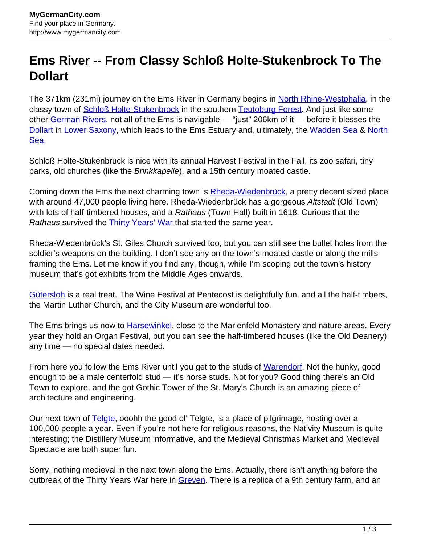## **Ems River -- From Classy Schloß Holte-Stukenbrock To The Dollart**

The 371km (231mi) journey on the Ems River in Germany begins in [North Rhine-Westphalia](http://www.mygermancity.com/north-rhine-westphalia), in the classy town of **Schloß Holte-Stukenbrock** in the southern **Teutoburg Forest**. And just like some other [German Rivers,](http://www.mygermancity.com/german-rivers) not all of the Ems is navigable — "just" 206km of it — before it blesses the [Dollart](http://www.mygermancity.com/dollart) in [Lower Saxony](http://www.mygermancity.com/lower-saxony), which leads to the Ems Estuary and, ultimately, the [Wadden Sea](http://www.mygermancity.com/wadden-sea) & [North](http://www.mygermancity.com/north-sea) [Sea.](http://www.mygermancity.com/north-sea)

Schloß Holte-Stukenbruck is nice with its annual Harvest Festival in the Fall, its zoo safari, tiny parks, old churches (like the Brinkkapelle), and a 15th century moated castle.

Coming down the Ems the next charming town is **[Rheda-Wiedenbrück](http://www.mygermancity.com/rheda-wiedenbrueck)**, a pretty decent sized place with around 47,000 people living here. Rheda-Wiedenbrück has a gorgeous Altstadt (Old Town) with lots of half-timbered houses, and a Rathaus (Town Hall) built in 1618. Curious that the Rathaus survived the **[Thirty Years' War](http://www.mygermancity.com/thirty-years-war)** that started the same year.

Rheda-Wiedenbrück's St. Giles Church survived too, but you can still see the bullet holes from the soldier's weapons on the building. I don't see any on the town's moated castle or along the mills framing the Ems. Let me know if you find any, though, while I'm scoping out the town's history museum that's got exhibits from the Middle Ages onwards.

[Gütersloh](http://www.mygermancity.com/guetersloh) is a real treat. The Wine Festival at Pentecost is delightfully fun, and all the half-timbers, the Martin Luther Church, and the City Museum are wonderful too.

The Ems brings us now to [Harsewinkel,](http://www.mygermancity.com/harsewinkel) close to the Marienfeld Monastery and nature areas. Every year they hold an Organ Festival, but you can see the half-timbered houses (like the Old Deanery) any time — no special dates needed.

From here you follow the Ems River until you get to the studs of [Warendorf](http://www.mygermancity.com/warendorf). Not the hunky, good enough to be a male centerfold stud — it's horse studs. Not for you? Good thing there's an Old Town to explore, and the got Gothic Tower of the St. Mary's Church is an amazing piece of architecture and engineering.

Our next town of **[Telgte](http://www.mygermancity.com/telgte)**, ooohh the good ol' Telgte, is a place of pilgrimage, hosting over a 100,000 people a year. Even if you're not here for religious reasons, the Nativity Museum is quite interesting; the Distillery Museum informative, and the Medieval Christmas Market and Medieval Spectacle are both super fun.

Sorry, nothing medieval in the next town along the Ems. Actually, there isn't anything before the outbreak of the Thirty Years War here in [Greven.](http://www.mygermancity.com/greven) There is a replica of a 9th century farm, and an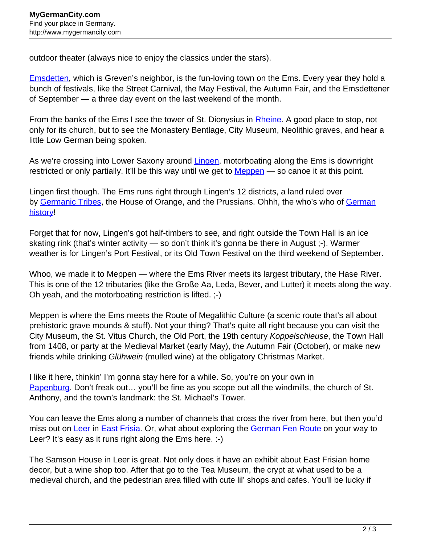outdoor theater (always nice to enjoy the classics under the stars).

**Emsdetten**, which is Greven's neighbor, is the fun-loving town on the Ems. Every year they hold a bunch of festivals, like the Street Carnival, the May Festival, the Autumn Fair, and the Emsdettener of September — a three day event on the last weekend of the month.

From the banks of the Ems I see the tower of St. Dionysius in [Rheine](http://www.mygermancity.com/rheine). A good place to stop, not only for its church, but to see the Monastery Bentlage, City Museum, Neolithic graves, and hear a little Low German being spoken.

As we're crossing into Lower Saxony around [Lingen,](http://www.mygermancity.com/lingen) motorboating along the Ems is downright restricted or only partially. It'll be this way until we get to [Meppen](http://www.mygermancity.com/meppen) — so canoe it at this point.

Lingen first though. The Ems runs right through Lingen's 12 districts, a land ruled over by [Germanic Tribes](http://www.mygermancity.com/germanic-tribes), the House of Orange, and the Prussians. Ohhh, the who's who of [German](http://www.mygermancity.com/german-history) [history!](http://www.mygermancity.com/german-history)

Forget that for now, Lingen's got half-timbers to see, and right outside the Town Hall is an ice skating rink (that's winter activity — so don't think it's gonna be there in August ;-). Warmer weather is for Lingen's Port Festival, or its Old Town Festival on the third weekend of September.

Whoo, we made it to Meppen — where the Ems River meets its largest tributary, the Hase River. This is one of the 12 tributaries (like the Große Aa, Leda, Bever, and Lutter) it meets along the way. Oh yeah, and the motorboating restriction is lifted. ;-)

Meppen is where the Ems meets the Route of Megalithic Culture (a scenic route that's all about prehistoric grave mounds & stuff). Not your thing? That's quite all right because you can visit the City Museum, the St. Vitus Church, the Old Port, the 19th century Koppelschleuse, the Town Hall from 1408, or party at the Medieval Market (early May), the Autumn Fair (October), or make new friends while drinking Glühwein (mulled wine) at the obligatory Christmas Market.

I like it here, thinkin' I'm gonna stay here for a while. So, you're on your own in [Papenburg](http://www.mygermancity.com/papenburg). Don't freak out... you'll be fine as you scope out all the windmills, the church of St. Anthony, and the town's landmark: the St. Michael's Tower.

You can leave the Ems along a number of channels that cross the river from here, but then you'd miss out on [Leer](http://www.mygermancity.com/leer) in [East Frisia.](http://www.mygermancity.com/east-frisia) Or, what about exploring the [German Fen Route](http://www.mygermancity.com/german-fen-route) on your way to Leer? It's easy as it runs right along the Ems here. :-)

The Samson House in Leer is great. Not only does it have an exhibit about East Frisian home decor, but a wine shop too. After that go to the Tea Museum, the crypt at what used to be a medieval church, and the pedestrian area filled with cute lil' shops and cafes. You'll be lucky if